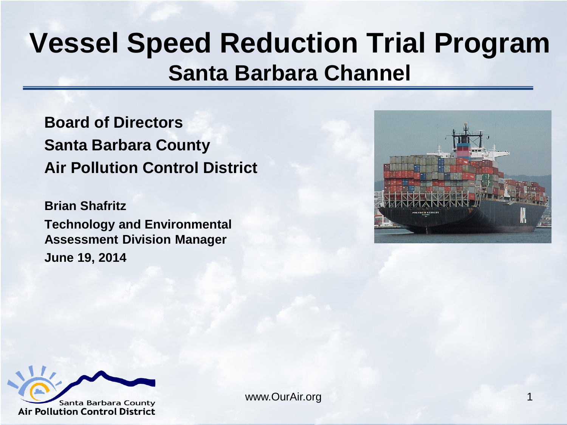#### **Vessel Speed Reduction Trial Program Santa Barbara Channel**

**Board of Directors Santa Barbara County Air Pollution Control District**

**Brian Shafritz Technology and Environmental Assessment Division Manager June 19, 2014**



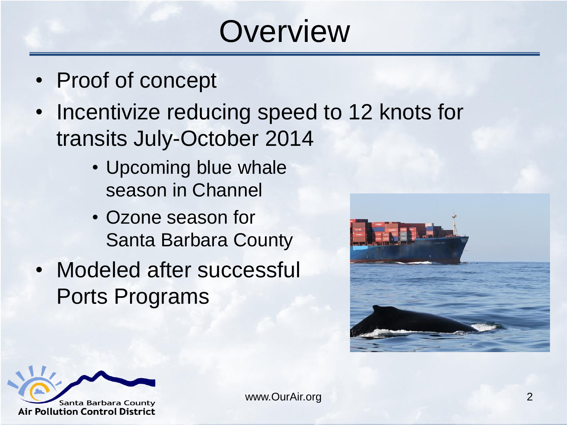## **Overview**

- Proof of concept
- Incentivize reducing speed to 12 knots for transits July-October 2014
	- Upcoming blue whale season in Channel
	- Ozone season for Santa Barbara County
- Modeled after successful Ports Programs



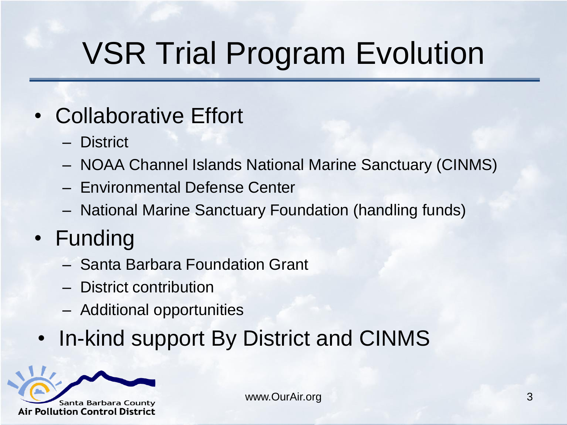# VSR Trial Program Evolution

#### • Collaborative Effort

- District
- NOAA Channel Islands National Marine Sanctuary (CINMS)
- Environmental Defense Center
- National Marine Sanctuary Foundation (handling funds)
- Funding
	- Santa Barbara Foundation Grant
	- District contribution
	- Additional opportunities
- In-kind support By District and CINMS

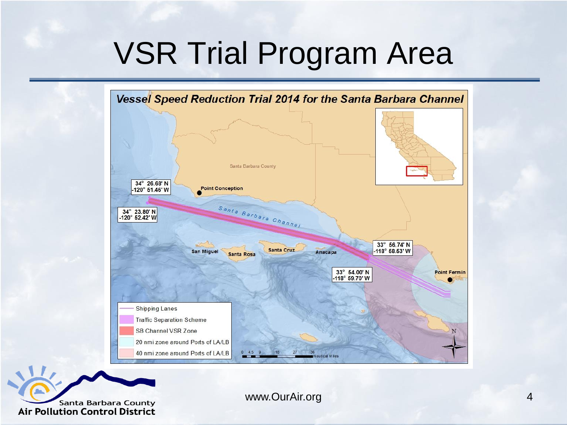## VSR Trial Program Area



**Santa Barbara County Air Pollution Control District**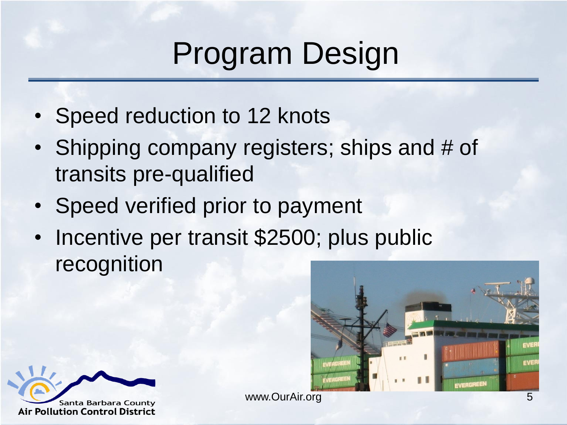# Program Design

- Speed reduction to 12 knots
- Shipping company registers; ships and # of transits pre-qualified
- Speed verified prior to payment
- Incentive per transit \$2500; plus public recognition



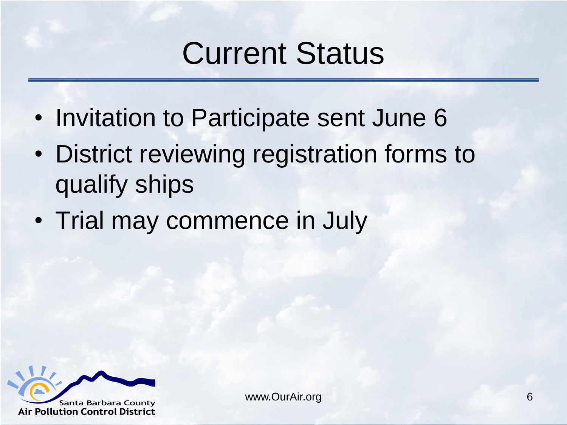#### Current Status

- Invitation to Participate sent June 6
- District reviewing registration forms to qualify ships
- Trial may commence in July

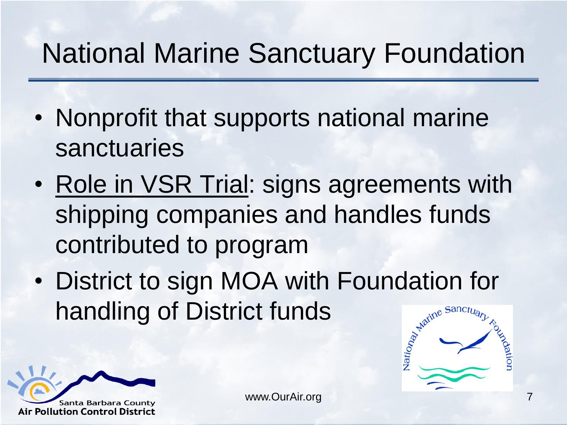#### National Marine Sanctuary Foundation

- Nonprofit that supports national marine sanctuaries
- Role in VSR Trial: signs agreements with shipping companies and handles funds contributed to program
- District to sign MOA with Foundation for<br>handling of District funds handling of District funds